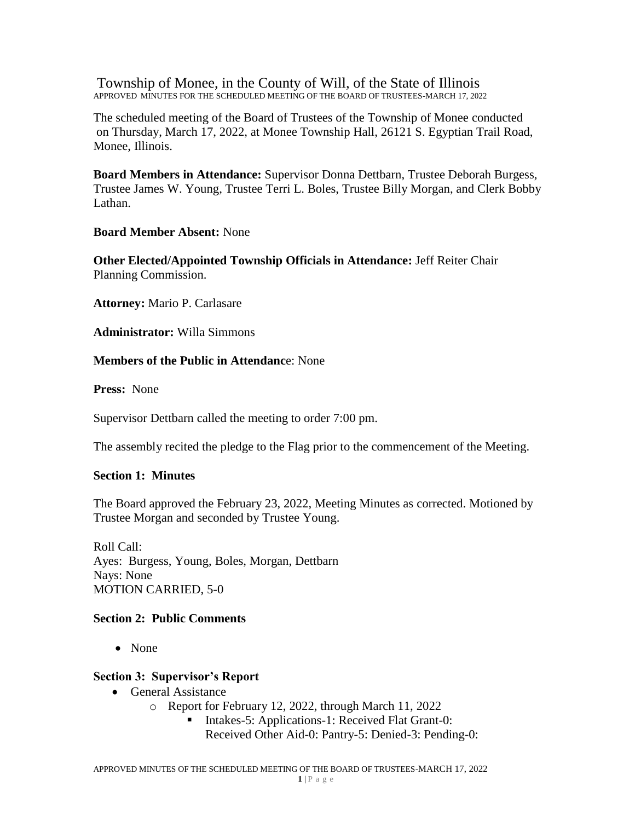Township of Monee, in the County of Will, of the State of Illinois APPROVED MINUTES FOR THE SCHEDULED MEETING OF THE BOARD OF TRUSTEES-MARCH 17, 2022

The scheduled meeting of the Board of Trustees of the Township of Monee conducted on Thursday, March 17, 2022, at Monee Township Hall, 26121 S. Egyptian Trail Road, Monee, Illinois.

**Board Members in Attendance:** Supervisor Donna Dettbarn, Trustee Deborah Burgess, Trustee James W. Young, Trustee Terri L. Boles, Trustee Billy Morgan, and Clerk Bobby Lathan.

**Board Member Absent:** None

**Other Elected/Appointed Township Officials in Attendance:** Jeff Reiter Chair Planning Commission.

**Attorney:** Mario P. Carlasare

**Administrator:** Willa Simmons

### **Members of the Public in Attendanc**e: None

**Press:** None

Supervisor Dettbarn called the meeting to order 7:00 pm.

The assembly recited the pledge to the Flag prior to the commencement of the Meeting.

## **Section 1: Minutes**

The Board approved the February 23, 2022, Meeting Minutes as corrected. Motioned by Trustee Morgan and seconded by Trustee Young.

Roll Call: Ayes: Burgess, Young, Boles, Morgan, Dettbarn Nays: None MOTION CARRIED, 5-0

## **Section 2: Public Comments**

• None

## **Section 3: Supervisor's Report**

- General Assistance
	- o Report for February 12, 2022, through March 11, 2022
		- Intakes-5: Applications-1: Received Flat Grant-0: Received Other Aid-0: Pantry-5: Denied-3: Pending-0: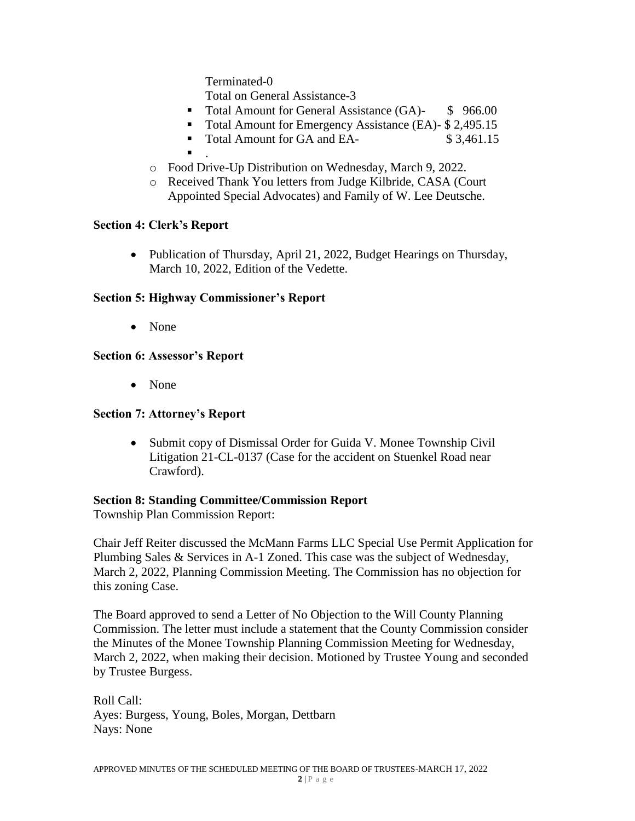Terminated-0

Total on General Assistance-3

- Total Amount for General Assistance (GA)- \$ 966.00
- Total Amount for Emergency Assistance (EA)- \$ 2,495.15
- Total Amount for GA and EA- \$ 3,461.15
- $\blacksquare$ .
- o Food Drive-Up Distribution on Wednesday, March 9, 2022.
- o Received Thank You letters from Judge Kilbride, CASA (Court Appointed Special Advocates) and Family of W. Lee Deutsche.

### **Section 4: Clerk's Report**

• Publication of Thursday, April 21, 2022, Budget Hearings on Thursday, March 10, 2022, Edition of the Vedette.

### **Section 5: Highway Commissioner's Report**

• None

## **Section 6: Assessor's Report**

None

## **Section 7: Attorney's Report**

• Submit copy of Dismissal Order for Guida V. Monee Township Civil Litigation 21-CL-0137 (Case for the accident on Stuenkel Road near Crawford).

### **Section 8: Standing Committee/Commission Report**

Township Plan Commission Report:

Chair Jeff Reiter discussed the McMann Farms LLC Special Use Permit Application for Plumbing Sales & Services in A-1 Zoned. This case was the subject of Wednesday, March 2, 2022, Planning Commission Meeting. The Commission has no objection for this zoning Case.

The Board approved to send a Letter of No Objection to the Will County Planning Commission. The letter must include a statement that the County Commission consider the Minutes of the Monee Township Planning Commission Meeting for Wednesday, March 2, 2022, when making their decision. Motioned by Trustee Young and seconded by Trustee Burgess.

Roll Call: Ayes: Burgess, Young, Boles, Morgan, Dettbarn Nays: None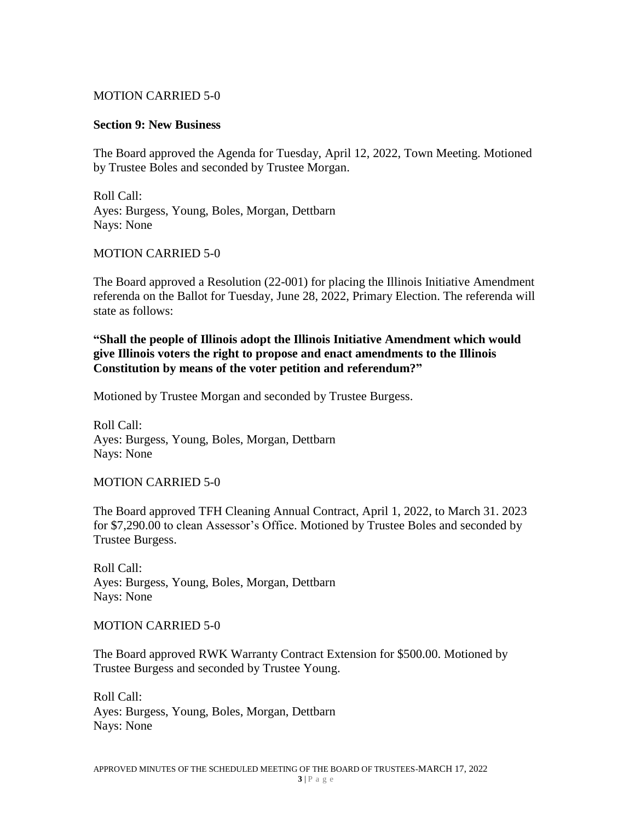### MOTION CARRIED 5-0

#### **Section 9: New Business**

The Board approved the Agenda for Tuesday, April 12, 2022, Town Meeting. Motioned by Trustee Boles and seconded by Trustee Morgan.

Roll Call: Ayes: Burgess, Young, Boles, Morgan, Dettbarn Nays: None

### MOTION CARRIED 5-0

The Board approved a Resolution (22-001) for placing the Illinois Initiative Amendment referenda on the Ballot for Tuesday, June 28, 2022, Primary Election. The referenda will state as follows:

### **"Shall the people of Illinois adopt the Illinois Initiative Amendment which would give Illinois voters the right to propose and enact amendments to the Illinois Constitution by means of the voter petition and referendum?"**

Motioned by Trustee Morgan and seconded by Trustee Burgess.

Roll Call: Ayes: Burgess, Young, Boles, Morgan, Dettbarn Nays: None

MOTION CARRIED 5-0

The Board approved TFH Cleaning Annual Contract, April 1, 2022, to March 31. 2023 for \$7,290.00 to clean Assessor's Office. Motioned by Trustee Boles and seconded by Trustee Burgess.

Roll Call: Ayes: Burgess, Young, Boles, Morgan, Dettbarn Nays: None

#### MOTION CARRIED 5-0

The Board approved RWK Warranty Contract Extension for \$500.00. Motioned by Trustee Burgess and seconded by Trustee Young.

Roll Call: Ayes: Burgess, Young, Boles, Morgan, Dettbarn Nays: None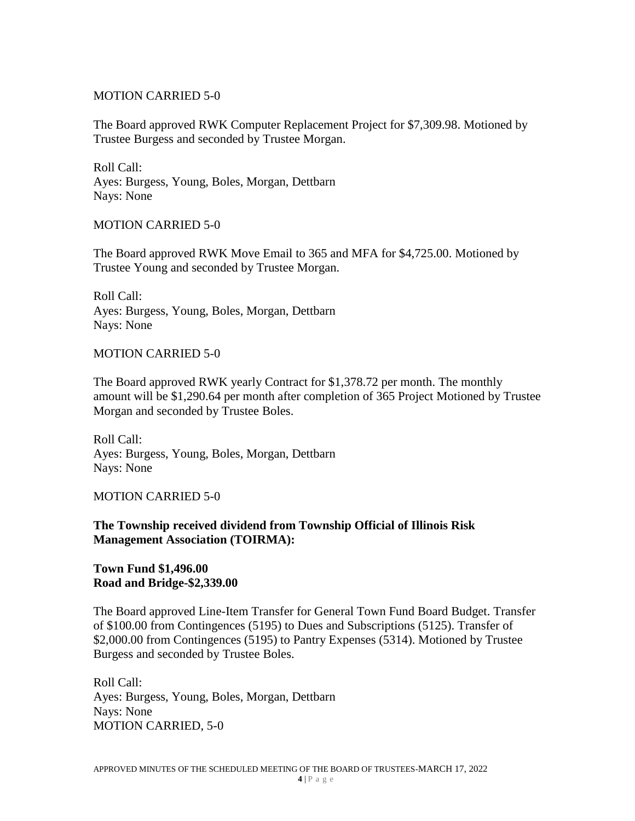### MOTION CARRIED 5-0

The Board approved RWK Computer Replacement Project for \$7,309.98. Motioned by Trustee Burgess and seconded by Trustee Morgan.

Roll Call: Ayes: Burgess, Young, Boles, Morgan, Dettbarn Nays: None

#### MOTION CARRIED 5-0

The Board approved RWK Move Email to 365 and MFA for \$4,725.00. Motioned by Trustee Young and seconded by Trustee Morgan.

Roll Call: Ayes: Burgess, Young, Boles, Morgan, Dettbarn Nays: None

#### MOTION CARRIED 5-0

The Board approved RWK yearly Contract for \$1,378.72 per month. The monthly amount will be \$1,290.64 per month after completion of 365 Project Motioned by Trustee Morgan and seconded by Trustee Boles.

Roll Call: Ayes: Burgess, Young, Boles, Morgan, Dettbarn Nays: None

#### MOTION CARRIED 5-0

### **The Township received dividend from Township Official of Illinois Risk Management Association (TOIRMA):**

### **Town Fund \$1,496.00 Road and Bridge-\$2,339.00**

The Board approved Line-Item Transfer for General Town Fund Board Budget. Transfer of \$100.00 from Contingences (5195) to Dues and Subscriptions (5125). Transfer of \$2,000.00 from Contingences (5195) to Pantry Expenses (5314). Motioned by Trustee Burgess and seconded by Trustee Boles.

Roll Call: Ayes: Burgess, Young, Boles, Morgan, Dettbarn Nays: None MOTION CARRIED, 5-0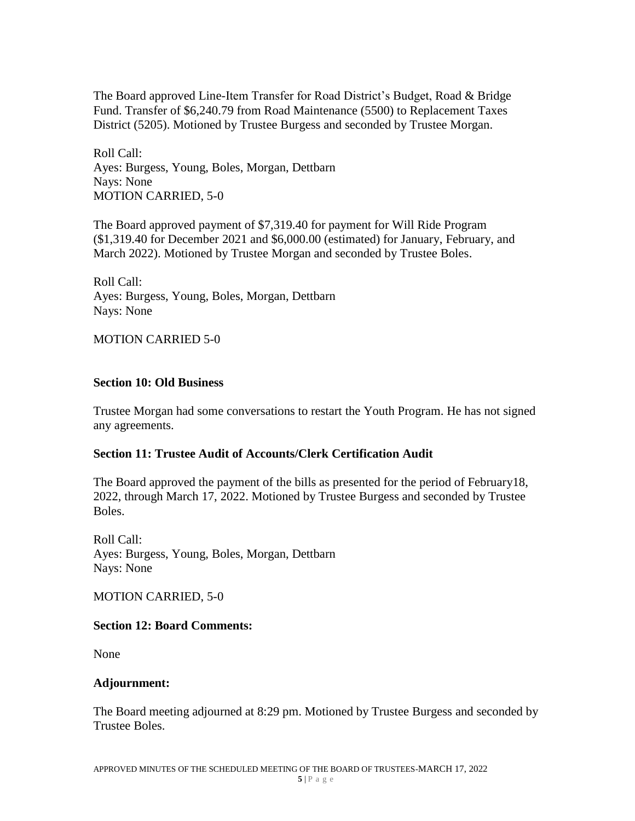The Board approved Line-Item Transfer for Road District's Budget, Road & Bridge Fund. Transfer of \$6,240.79 from Road Maintenance (5500) to Replacement Taxes District (5205). Motioned by Trustee Burgess and seconded by Trustee Morgan.

Roll Call: Ayes: Burgess, Young, Boles, Morgan, Dettbarn Nays: None MOTION CARRIED, 5-0

The Board approved payment of \$7,319.40 for payment for Will Ride Program (\$1,319.40 for December 2021 and \$6,000.00 (estimated) for January, February, and March 2022). Motioned by Trustee Morgan and seconded by Trustee Boles.

Roll Call: Ayes: Burgess, Young, Boles, Morgan, Dettbarn Nays: None

MOTION CARRIED 5-0

### **Section 10: Old Business**

Trustee Morgan had some conversations to restart the Youth Program. He has not signed any agreements.

## **Section 11: Trustee Audit of Accounts/Clerk Certification Audit**

The Board approved the payment of the bills as presented for the period of February18, 2022, through March 17, 2022. Motioned by Trustee Burgess and seconded by Trustee Boles.

Roll Call: Ayes: Burgess, Young, Boles, Morgan, Dettbarn Nays: None

MOTION CARRIED, 5-0

### **Section 12: Board Comments:**

None

### **Adjournment:**

The Board meeting adjourned at 8:29 pm. Motioned by Trustee Burgess and seconded by Trustee Boles.